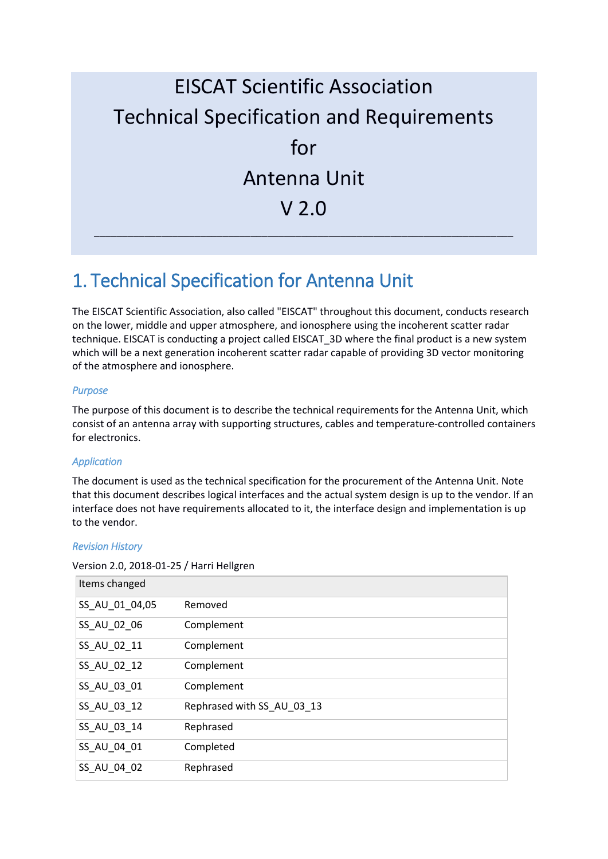# EISCAT Scientific Association Technical Specification and Requirements for Antenna Unit V 2.0 \_\_\_\_\_\_\_\_\_\_\_\_\_\_\_\_\_\_\_\_\_\_\_\_\_\_\_\_\_\_\_\_\_\_\_\_\_\_\_\_\_\_\_\_\_\_\_\_\_\_\_\_\_\_\_\_\_\_\_\_\_\_\_\_\_\_\_\_\_\_\_\_\_\_\_

### 1. Technical Specification for Antenna Unit

The EISCAT Scientific Association, also called "EISCAT" throughout this document, conducts research on the lower, middle and upper atmosphere, and ionosphere using the incoherent scatter radar technique. EISCAT is conducting a project called EISCAT\_3D where the final product is a new system which will be a next generation incoherent scatter radar capable of providing 3D vector monitoring of the atmosphere and ionosphere.

#### *Purpose*

The purpose of this document is to describe the technical requirements for the Antenna Unit, which consist of an antenna array with supporting structures, cables and temperature-controlled containers for electronics.

#### *Application*

The document is used as the technical specification for the procurement of the Antenna Unit. Note that this document describes logical interfaces and the actual system design is up to the vendor. If an interface does not have requirements allocated to it, the interface design and implementation is up to the vendor.

#### *Revision History*

| Items changed  |                            |
|----------------|----------------------------|
| SS_AU_01_04,05 | Removed                    |
| SS_AU_02_06    | Complement                 |
| SS_AU_02_11    | Complement                 |
| SS_AU_02_12    | Complement                 |
| SS_AU_03_01    | Complement                 |
| SS_AU_03_12    | Rephrased with SS AU 03 13 |
| SS_AU_03_14    | Rephrased                  |
| SS_AU_04_01    | Completed                  |
| SS_AU_04_02    | Rephrased                  |

Version 2.0, 2018-01-25 / Harri Hellgren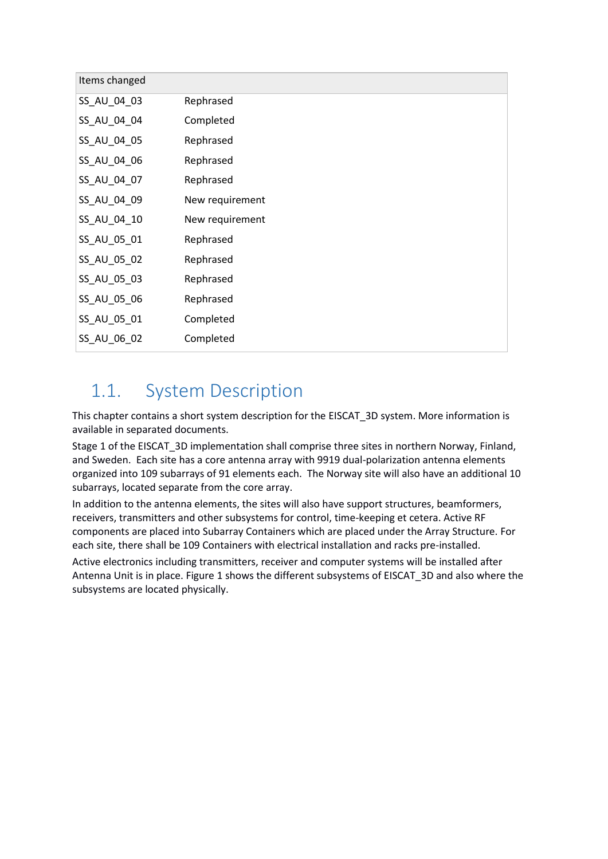| Items changed |                 |
|---------------|-----------------|
| SS_AU_04_03   | Rephrased       |
| SS_AU_04_04   | Completed       |
| SS_AU_04_05   | Rephrased       |
| SS_AU_04_06   | Rephrased       |
| SS_AU_04_07   | Rephrased       |
| SS_AU_04_09   | New requirement |
| SS_AU_04_10   | New requirement |
| SS_AU_05_01   | Rephrased       |
| SS_AU_05_02   | Rephrased       |
| SS_AU_05_03   | Rephrased       |
| SS_AU_05_06   | Rephrased       |
| SS_AU_05_01   | Completed       |
| SS_AU_06_02   | Completed       |

#### 1.1. System Description

This chapter contains a short system description for the EISCAT\_3D system. More information is available in separated documents.

Stage 1 of the EISCAT\_3D implementation shall comprise three sites in northern Norway, Finland, and Sweden. Each site has a core antenna array with 9919 dual-polarization antenna elements organized into 109 subarrays of 91 elements each. The Norway site will also have an additional 10 subarrays, located separate from the core array.

In addition to the antenna elements, the sites will also have support structures, beamformers, receivers, transmitters and other subsystems for control, time-keeping et cetera. Active RF components are placed into Subarray Containers which are placed under the Array Structure. For each site, there shall be 109 Containers with electrical installation and racks pre-installed.

Active electronics including transmitters, receiver and computer systems will be installed after Antenna Unit is in place. [Figure 1](#page-2-0) shows the different subsystems of EISCAT\_3D and also where the subsystems are located physically.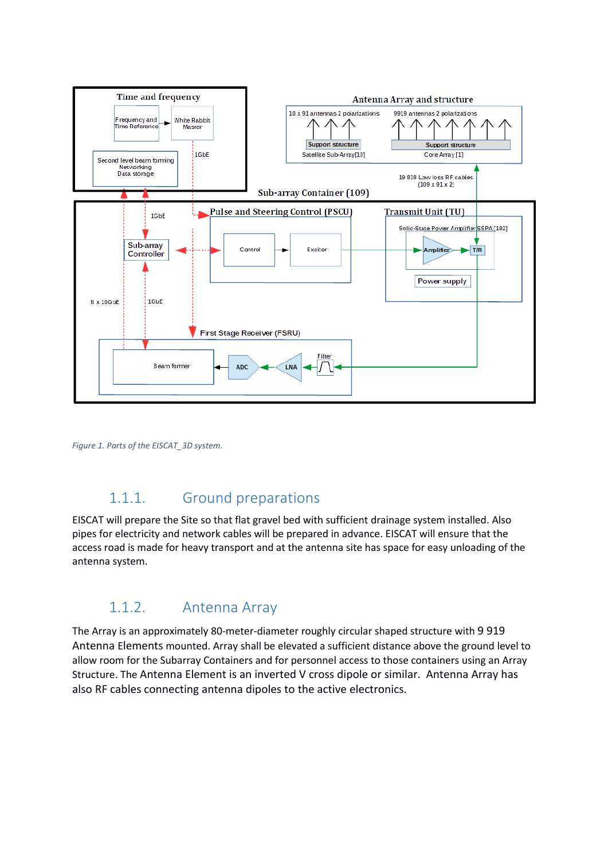

<span id="page-2-0"></span>*Figure 1. Parts of the EISCAT\_3D system.*

#### 1.1.1. Ground preparations

EISCAT will prepare the Site so that flat gravel bed with sufficient drainage system installed. Also pipes for electricity and network cables will be prepared in advance. EISCAT will ensure that the access road is made for heavy transport and at the antenna site has space for easy unloading of the antenna system.

#### 1.1.2. Antenna Array

The Array is an approximately 80-meter-diameter roughly circular shaped structure with 9 919 Antenna Elements mounted. Array shall be elevated a sufficient distance above the ground level to allow room for the Subarray Containers and for personnel access to those containers using an Array Structure. The Antenna Element is an inverted V cross dipole or similar. Antenna Array has also RF cables connecting antenna dipoles to the active electronics.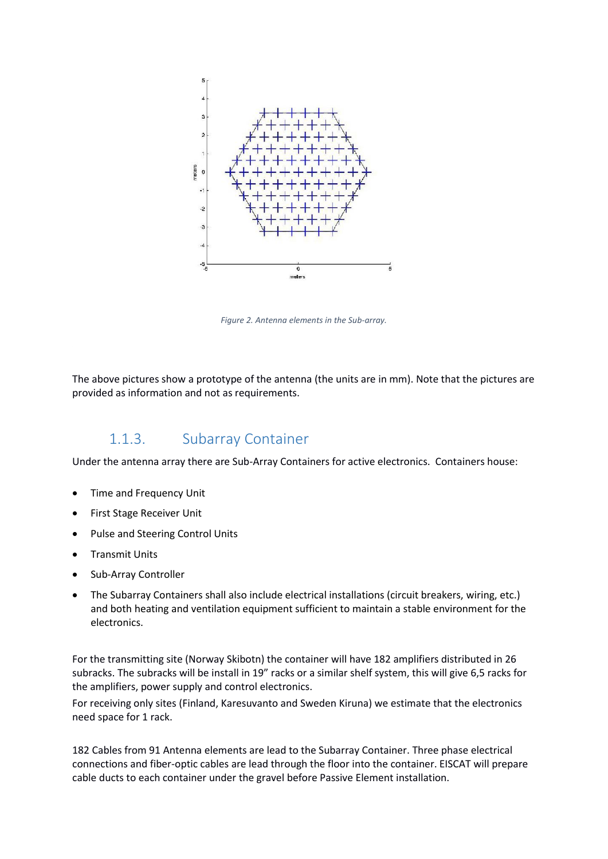

*Figure 2. Antenna elements in the Sub-array.*

The above pictures show a prototype of the antenna (the units are in mm). Note that the pictures are provided as information and not as requirements.

#### 1.1.3. Subarray Container

Under the antenna array there are Sub-Array Containers for active electronics. Containers house:

- Time and Frequency Unit
- First Stage Receiver Unit
- Pulse and Steering Control Units
- Transmit Units
- Sub-Array Controller
- The Subarray Containers shall also include electrical installations (circuit breakers, wiring, etc.) and both heating and ventilation equipment sufficient to maintain a stable environment for the electronics.

For the transmitting site (Norway Skibotn) the container will have 182 amplifiers distributed in 26 subracks. The subracks will be install in 19" racks or a similar shelf system, this will give 6,5 racks for the amplifiers, power supply and control electronics.

For receiving only sites (Finland, Karesuvanto and Sweden Kiruna) we estimate that the electronics need space for 1 rack.

182 Cables from 91 Antenna elements are lead to the Subarray Container. Three phase electrical connections and fiber-optic cables are lead through the floor into the container. EISCAT will prepare cable ducts to each container under the gravel before Passive Element installation.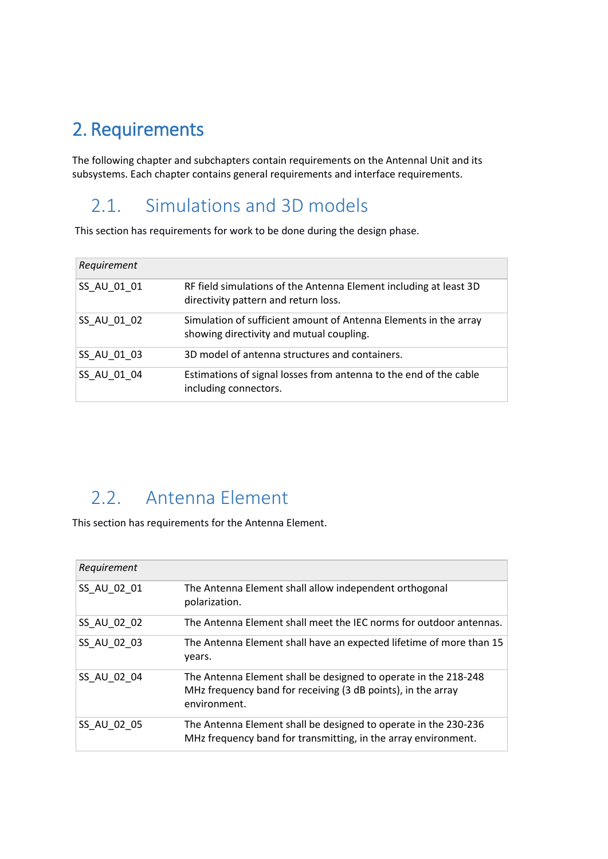## 2. Requirements

The following chapter and subchapters contain requirements on the Antennal Unit and its subsystems. Each chapter contains general requirements and interface requirements.

#### 2.1. Simulations and 3D models

This section has requirements for work to be done during the design phase.

| Requirement |                                                                                                              |
|-------------|--------------------------------------------------------------------------------------------------------------|
| SS AU 01 01 | RF field simulations of the Antenna Element including at least 3D<br>directivity pattern and return loss.    |
| SS AU 01 02 | Simulation of sufficient amount of Antenna Elements in the array<br>showing directivity and mutual coupling. |
| SS AU 01 03 | 3D model of antenna structures and containers.                                                               |
| SS AU 01 04 | Estimations of signal losses from antenna to the end of the cable<br>including connectors.                   |

### 2.2. Antenna Element

This section has requirements for the Antenna Element.

| Requirement |                                                                                                                                                 |
|-------------|-------------------------------------------------------------------------------------------------------------------------------------------------|
| SS AU 02 01 | The Antenna Element shall allow independent orthogonal<br>polarization.                                                                         |
| SS AU 02 02 | The Antenna Element shall meet the IEC norms for outdoor antennas.                                                                              |
| SS AU 02 03 | The Antenna Element shall have an expected lifetime of more than 15<br>years.                                                                   |
| SS AU 02 04 | The Antenna Element shall be designed to operate in the 218-248<br>MHz frequency band for receiving (3 dB points), in the array<br>environment. |
| SS AU 02 05 | The Antenna Element shall be designed to operate in the 230-236<br>MHz frequency band for transmitting, in the array environment.               |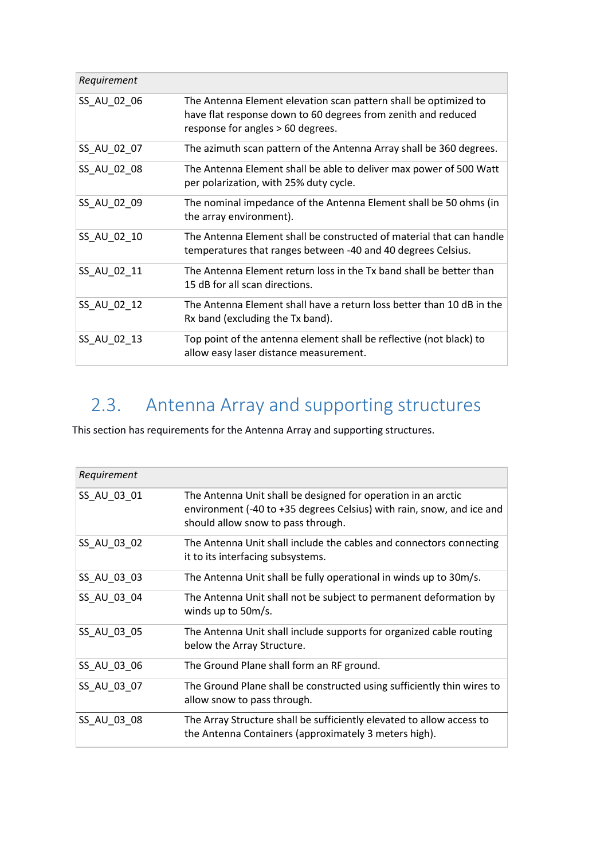| Requirement |                                                                                                                                                                        |
|-------------|------------------------------------------------------------------------------------------------------------------------------------------------------------------------|
| SS_AU_02_06 | The Antenna Element elevation scan pattern shall be optimized to<br>have flat response down to 60 degrees from zenith and reduced<br>response for angles > 60 degrees. |
| SS_AU_02_07 | The azimuth scan pattern of the Antenna Array shall be 360 degrees.                                                                                                    |
| SS_AU_02_08 | The Antenna Element shall be able to deliver max power of 500 Watt<br>per polarization, with 25% duty cycle.                                                           |
| SS_AU_02_09 | The nominal impedance of the Antenna Element shall be 50 ohms (in<br>the array environment).                                                                           |
| SS AU 02 10 | The Antenna Element shall be constructed of material that can handle<br>temperatures that ranges between -40 and 40 degrees Celsius.                                   |
| SS_AU_02_11 | The Antenna Element return loss in the Tx band shall be better than<br>15 dB for all scan directions.                                                                  |
| SS_AU_02_12 | The Antenna Element shall have a return loss better than 10 dB in the<br>Rx band (excluding the Tx band).                                                              |
| SS_AU_02_13 | Top point of the antenna element shall be reflective (not black) to<br>allow easy laser distance measurement.                                                          |

## 2.3. Antenna Array and supporting structures

This section has requirements for the Antenna Array and supporting structures.

| Requirement |                                                                                                                                                                              |
|-------------|------------------------------------------------------------------------------------------------------------------------------------------------------------------------------|
| SS_AU_03_01 | The Antenna Unit shall be designed for operation in an arctic<br>environment (-40 to +35 degrees Celsius) with rain, snow, and ice and<br>should allow snow to pass through. |
| SS_AU_03_02 | The Antenna Unit shall include the cables and connectors connecting<br>it to its interfacing subsystems.                                                                     |
| SS_AU_03_03 | The Antenna Unit shall be fully operational in winds up to 30m/s.                                                                                                            |
| SS_AU_03_04 | The Antenna Unit shall not be subject to permanent deformation by<br>winds up to 50m/s.                                                                                      |
| SS AU 03 05 | The Antenna Unit shall include supports for organized cable routing<br>below the Array Structure.                                                                            |
| SS_AU_03_06 | The Ground Plane shall form an RF ground.                                                                                                                                    |
| SS_AU_03_07 | The Ground Plane shall be constructed using sufficiently thin wires to<br>allow snow to pass through.                                                                        |
| SS_AU_03_08 | The Array Structure shall be sufficiently elevated to allow access to<br>the Antenna Containers (approximately 3 meters high).                                               |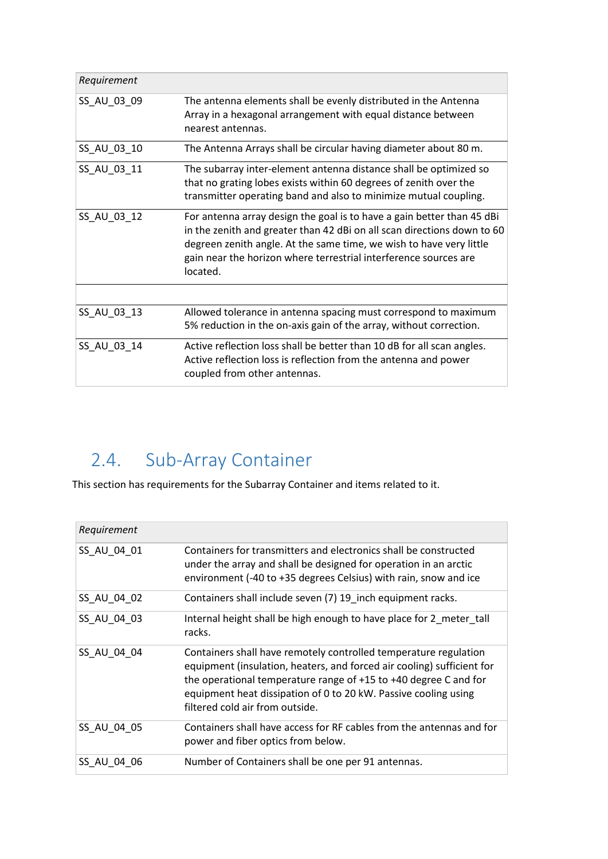| Requirement |                                                                                                                                                                                                                                                                                                          |
|-------------|----------------------------------------------------------------------------------------------------------------------------------------------------------------------------------------------------------------------------------------------------------------------------------------------------------|
| SS_AU_03_09 | The antenna elements shall be evenly distributed in the Antenna<br>Array in a hexagonal arrangement with equal distance between<br>nearest antennas.                                                                                                                                                     |
| SS_AU_03_10 | The Antenna Arrays shall be circular having diameter about 80 m.                                                                                                                                                                                                                                         |
| SS_AU_03_11 | The subarray inter-element antenna distance shall be optimized so<br>that no grating lobes exists within 60 degrees of zenith over the<br>transmitter operating band and also to minimize mutual coupling.                                                                                               |
| SS AU 03 12 | For antenna array design the goal is to have a gain better than 45 dBi<br>in the zenith and greater than 42 dBi on all scan directions down to 60<br>degreen zenith angle. At the same time, we wish to have very little<br>gain near the horizon where terrestrial interference sources are<br>located. |
|             |                                                                                                                                                                                                                                                                                                          |
| SS_AU_03_13 | Allowed tolerance in antenna spacing must correspond to maximum<br>5% reduction in the on-axis gain of the array, without correction.                                                                                                                                                                    |
| SS_AU_03_14 | Active reflection loss shall be better than 10 dB for all scan angles.<br>Active reflection loss is reflection from the antenna and power<br>coupled from other antennas.                                                                                                                                |

## 2.4. Sub-Array Container

This section has requirements for the Subarray Container and items related to it.

| Requirement |                                                                                                                                                                                                                                                                                                                      |
|-------------|----------------------------------------------------------------------------------------------------------------------------------------------------------------------------------------------------------------------------------------------------------------------------------------------------------------------|
| SS AU 04 01 | Containers for transmitters and electronics shall be constructed<br>under the array and shall be designed for operation in an arctic<br>environment (-40 to +35 degrees Celsius) with rain, snow and ice                                                                                                             |
| SS AU 04 02 | Containers shall include seven (7) 19 inch equipment racks.                                                                                                                                                                                                                                                          |
| SS AU 04 03 | Internal height shall be high enough to have place for 2 meter tall<br>racks.                                                                                                                                                                                                                                        |
| SS AU 04 04 | Containers shall have remotely controlled temperature regulation<br>equipment (insulation, heaters, and forced air cooling) sufficient for<br>the operational temperature range of +15 to +40 degree C and for<br>equipment heat dissipation of 0 to 20 kW. Passive cooling using<br>filtered cold air from outside. |
| SS AU 04 05 | Containers shall have access for RF cables from the antennas and for<br>power and fiber optics from below.                                                                                                                                                                                                           |
| SS AU 04 06 | Number of Containers shall be one per 91 antennas.                                                                                                                                                                                                                                                                   |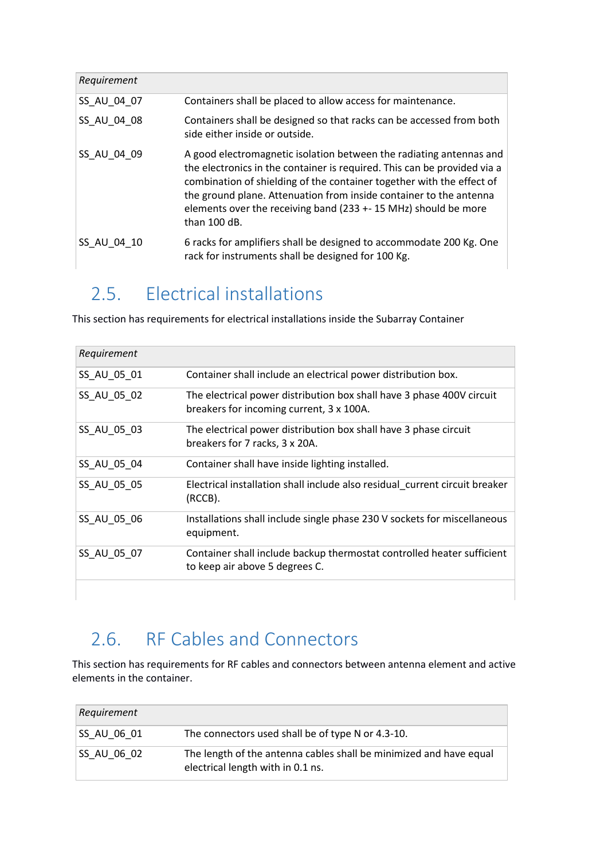| Requirement |                                                                                                                                                                                                                                                                                                                                                                                     |
|-------------|-------------------------------------------------------------------------------------------------------------------------------------------------------------------------------------------------------------------------------------------------------------------------------------------------------------------------------------------------------------------------------------|
| SS AU 04 07 | Containers shall be placed to allow access for maintenance.                                                                                                                                                                                                                                                                                                                         |
| SS AU 04 08 | Containers shall be designed so that racks can be accessed from both<br>side either inside or outside.                                                                                                                                                                                                                                                                              |
| SS AU 04 09 | A good electromagnetic isolation between the radiating antennas and<br>the electronics in the container is required. This can be provided via a<br>combination of shielding of the container together with the effect of<br>the ground plane. Attenuation from inside container to the antenna<br>elements over the receiving band (233 +- 15 MHz) should be more<br>than $100$ dB. |
| SS AU 04 10 | 6 racks for amplifiers shall be designed to accommodate 200 Kg. One<br>rack for instruments shall be designed for 100 Kg.                                                                                                                                                                                                                                                           |

### 2.5. Electrical installations

This section has requirements for electrical installations inside the Subarray Container

| Requirement |                                                                                                                   |
|-------------|-------------------------------------------------------------------------------------------------------------------|
| SS AU 05 01 | Container shall include an electrical power distribution box.                                                     |
| SS_AU_05_02 | The electrical power distribution box shall have 3 phase 400V circuit<br>breakers for incoming current, 3 x 100A. |
| SS_AU_05_03 | The electrical power distribution box shall have 3 phase circuit<br>breakers for 7 racks, 3 x 20A.                |
| SS_AU_05_04 | Container shall have inside lighting installed.                                                                   |
| SS AU 05 05 | Electrical installation shall include also residual_current circuit breaker<br>(RCCB).                            |
| SS_AU_05_06 | Installations shall include single phase 230 V sockets for miscellaneous<br>equipment.                            |
| SS_AU_05_07 | Container shall include backup thermostat controlled heater sufficient<br>to keep air above 5 degrees C.          |
|             |                                                                                                                   |

### 2.6. RF Cables and Connectors

This section has requirements for RF cables and connectors between antenna element and active elements in the container.

| Requirement        |                                                                                                         |
|--------------------|---------------------------------------------------------------------------------------------------------|
| <b>SS AU 06 01</b> | The connectors used shall be of type N or 4.3-10.                                                       |
| <b>SS AU 06 02</b> | The length of the antenna cables shall be minimized and have equal<br>electrical length with in 0.1 ns. |